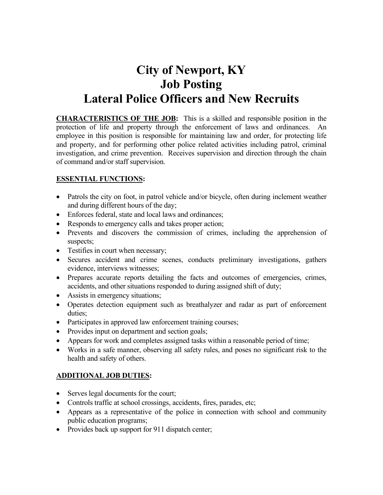# **City of Newport, KY Job Posting Lateral Police Officers and New Recruits**

**CHARACTERISTICS OF THE JOB:** This is a skilled and responsible position in the protection of life and property through the enforcement of laws and ordinances. An employee in this position is responsible for maintaining law and order, for protecting life and property, and for performing other police related activities including patrol, criminal investigation, and crime prevention. Receives supervision and direction through the chain of command and/or staff supervision.

#### **ESSENTIAL FUNCTIONS:**

- Patrols the city on foot, in patrol vehicle and/or bicycle, often during inclement weather and during different hours of the day;
- Enforces federal, state and local laws and ordinances;
- Responds to emergency calls and takes proper action;
- Prevents and discovers the commission of crimes, including the apprehension of suspects;
- Testifies in court when necessary;
- Secures accident and crime scenes, conducts preliminary investigations, gathers evidence, interviews witnesses;
- Prepares accurate reports detailing the facts and outcomes of emergencies, crimes, accidents, and other situations responded to during assigned shift of duty;
- Assists in emergency situations;
- Operates detection equipment such as breathalyzer and radar as part of enforcement duties;
- Participates in approved law enforcement training courses;
- Provides input on department and section goals;
- Appears for work and completes assigned tasks within a reasonable period of time;
- Works in a safe manner, observing all safety rules, and poses no significant risk to the health and safety of others.

## **ADDITIONAL JOB DUTIES:**

- Serves legal documents for the court;
- Controls traffic at school crossings, accidents, fires, parades, etc;
- Appears as a representative of the police in connection with school and community public education programs;
- Provides back up support for 911 dispatch center;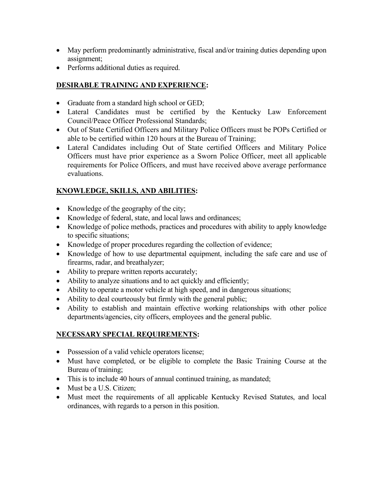- May perform predominantly administrative, fiscal and/or training duties depending upon assignment;
- Performs additional duties as required.

# **DESIRABLE TRAINING AND EXPERIENCE:**

- Graduate from a standard high school or GED;
- Lateral Candidates must be certified by the Kentucky Law Enforcement Council/Peace Officer Professional Standards;
- Out of State Certified Officers and Military Police Officers must be POPs Certified or able to be certified within 120 hours at the Bureau of Training;
- Lateral Candidates including Out of State certified Officers and Military Police Officers must have prior experience as a Sworn Police Officer, meet all applicable requirements for Police Officers, and must have received above average performance evaluations.

# **KNOWLEDGE, SKILLS, AND ABILITIES:**

- Knowledge of the geography of the city;
- Knowledge of federal, state, and local laws and ordinances;
- Knowledge of police methods, practices and procedures with ability to apply knowledge to specific situations;
- Knowledge of proper procedures regarding the collection of evidence;
- Knowledge of how to use departmental equipment, including the safe care and use of firearms, radar, and breathalyzer;
- Ability to prepare written reports accurately;
- Ability to analyze situations and to act quickly and efficiently;
- Ability to operate a motor vehicle at high speed, and in dangerous situations;
- Ability to deal courteously but firmly with the general public;
- Ability to establish and maintain effective working relationships with other police departments/agencies, city officers, employees and the general public.

## **NECESSARY SPECIAL REQUIREMENTS:**

- Possession of a valid vehicle operators license;
- Must have completed, or be eligible to complete the Basic Training Course at the Bureau of training;
- This is to include 40 hours of annual continued training, as mandated;
- Must be a U.S. Citizen;
- Must meet the requirements of all applicable Kentucky Revised Statutes, and local ordinances, with regards to a person in this position.